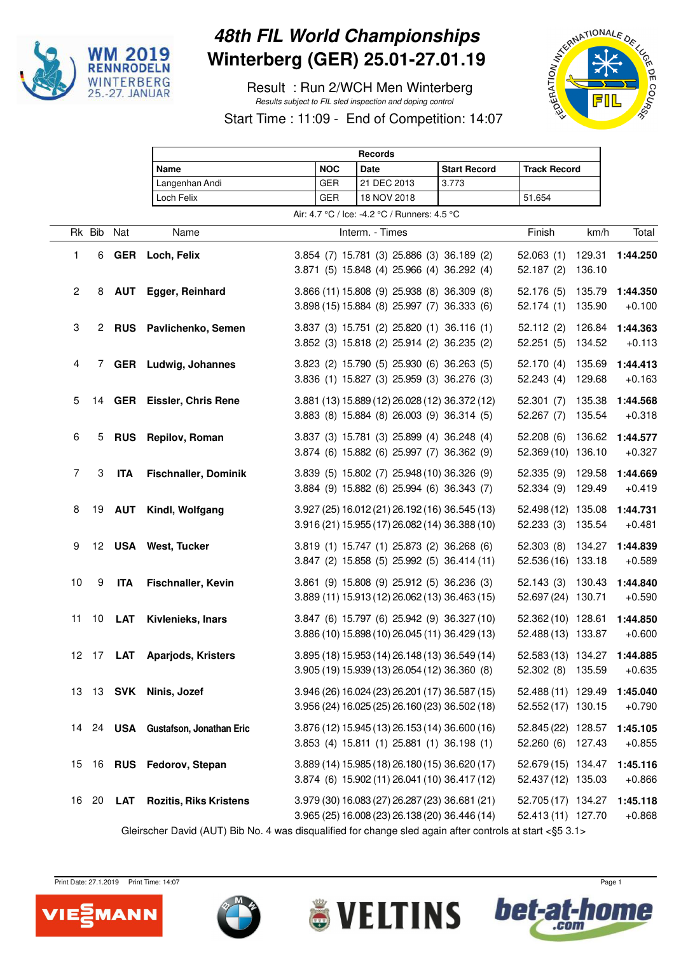

## **48th FIL World Championships Winterberg (GER) 25.01-27.01.19**

 Result : Run 2/WCH Men Winterberg Results subject to FIL sled inspection and doping control



Start Time : 11:09 - End of Competition: 14:07

|                                                                                                          |        |            | <b>Records</b>                 |  |            |                                                                                                  |                     |                                                  |                  |                      |
|----------------------------------------------------------------------------------------------------------|--------|------------|--------------------------------|--|------------|--------------------------------------------------------------------------------------------------|---------------------|--------------------------------------------------|------------------|----------------------|
|                                                                                                          |        |            | <b>Name</b>                    |  | <b>NOC</b> | <b>Date</b>                                                                                      | <b>Start Record</b> | <b>Track Record</b>                              |                  |                      |
|                                                                                                          |        |            | Langenhan Andi                 |  | <b>GER</b> | 21 DEC 2013                                                                                      | 3.773               |                                                  |                  |                      |
|                                                                                                          |        |            | Loch Felix                     |  | <b>GER</b> | 18 NOV 2018                                                                                      |                     | 51.654                                           |                  |                      |
|                                                                                                          |        |            |                                |  |            | Air: 4.7 °C / Ice: -4.2 °C / Runners: 4.5 °C                                                     |                     |                                                  |                  |                      |
|                                                                                                          | Rk Bib | Nat        | Name                           |  |            | Interm. - Times                                                                                  |                     | Finish                                           | km/h             | Total                |
| 1                                                                                                        | 6      | <b>GER</b> | Loch, Felix                    |  |            | 3.854 (7) 15.781 (3) 25.886 (3) 36.189 (2)<br>3.871 (5) 15.848 (4) 25.966 (4) 36.292 (4)         |                     | 52.063(1)<br>52.187(2)                           | 129.31<br>136.10 | 1:44.250             |
| $\mathbf{2}$                                                                                             | 8      |            | <b>AUT</b> Egger, Reinhard     |  |            | 3.866 (11) 15.808 (9) 25.938 (8) 36.309 (8)<br>3.898 (15) 15.884 (8) 25.997 (7) 36.333 (6)       |                     | 52.176 (5)<br>52.174(1)                          | 135.79<br>135.90 | 1:44.350<br>$+0.100$ |
| 3                                                                                                        |        | 2 RUS      | Pavlichenko, Semen             |  |            | 3.837 (3) 15.751 (2) 25.820 (1) 36.116 (1)<br>3.852 (3) 15.818 (2) 25.914 (2) 36.235 (2)         |                     | 52.112(2)<br>52.251(5)                           | 126.84<br>134.52 | 1:44.363<br>$+0.113$ |
| $\overline{\mathbf{4}}$                                                                                  | 7      |            | GER Ludwig, Johannes           |  |            | 3.823 (2) 15.790 (5) 25.930 (6) 36.263 (5)<br>3.836 (1) 15.827 (3) 25.959 (3) 36.276 (3)         |                     | 52.170 (4)<br>52.243(4)                          | 135.69<br>129.68 | 1:44.413<br>$+0.163$ |
| 5                                                                                                        | 14     |            | <b>GER</b> Eissler, Chris Rene |  |            | 3.881 (13) 15.889 (12) 26.028 (12) 36.372 (12)<br>3.883 (8) 15.884 (8) 26.003 (9) 36.314 (5)     |                     | 52.301(7)<br>52.267 (7)                          | 135.38<br>135.54 | 1:44.568<br>$+0.318$ |
| 6                                                                                                        | 5      | <b>RUS</b> | Repilov, Roman                 |  |            | 3.837 (3) 15.781 (3) 25.899 (4) 36.248 (4)<br>3.874 (6) 15.882 (6) 25.997 (7) 36.362 (9)         |                     | 52.208 (6)<br>52.369 (10) 136.10                 | 136.62           | 1:44.577<br>$+0.327$ |
| $\overline{7}$                                                                                           | 3      | <b>ITA</b> | <b>Fischnaller, Dominik</b>    |  |            | 3.839 (5) 15.802 (7) 25.948 (10) 36.326 (9)<br>3.884 (9) 15.882 (6) 25.994 (6) 36.343 (7)        |                     | 52.335 (9)<br>52.334 (9)                         | 129.58<br>129.49 | 1:44.669<br>$+0.419$ |
| 8                                                                                                        | 19     | <b>AUT</b> | Kindl, Wolfgang                |  |            | 3.927 (25) 16.012 (21) 26.192 (16) 36.545 (13)<br>3.916 (21) 15.955 (17) 26.082 (14) 36.388 (10) |                     | 52.498 (12) 135.08<br>52.233(3)                  | 135.54           | 1:44.731<br>$+0.481$ |
| 9                                                                                                        |        |            | 12 USA West, Tucker            |  |            | 3.819 (1) 15.747 (1) 25.873 (2) 36.268 (6)<br>3.847 (2) 15.858 (5) 25.992 (5) 36.414 (11)        |                     | 52.303(8)<br>52.536 (16) 133.18                  | 134.27           | 1:44.839<br>$+0.589$ |
| 10                                                                                                       | 9      | <b>ITA</b> | Fischnaller, Kevin             |  |            | 3.861 (9) 15.808 (9) 25.912 (5) 36.236 (3)<br>3.889 (11) 15.913 (12) 26.062 (13) 36.463 (15)     |                     | 52.143 (3) 130.43<br>52.697 (24) 130.71          |                  | 1:44.840<br>$+0.590$ |
| 11                                                                                                       | 10     | LAT        | Kivlenieks, Inars              |  |            | 3.847 (6) 15.797 (6) 25.942 (9) 36.327 (10)<br>3.886 (10) 15.898 (10) 26.045 (11) 36.429 (13)    |                     | 52.362 (10) 128.61<br>52.488 (13) 133.87         |                  | 1:44.850<br>$+0.600$ |
|                                                                                                          |        |            | 12 17 LAT Aparjods, Kristers   |  |            | 3.895 (18) 15.953 (14) 26.148 (13) 36.549 (14)<br>3.905 (19) 15.939 (13) 26.054 (12) 36.360 (8)  |                     | 52.583 (13) 134.27 1:44.885<br>52.302 (8) 135.59 |                  | $+0.635$             |
| 13                                                                                                       |        |            | 13 SVK Ninis, Jozef            |  |            | 3.946 (26) 16.024 (23) 26.201 (17) 36.587 (15)<br>3.956 (24) 16.025 (25) 26.160 (23) 36.502 (18) |                     | 52.488 (11) 129.49<br>52.552 (17) 130.15         |                  | 1:45.040<br>$+0.790$ |
|                                                                                                          |        | 14 24 USA  | Gustafson, Jonathan Eric       |  |            | 3.876 (12) 15.945 (13) 26.153 (14) 36.600 (16)<br>3.853 (4) 15.811 (1) 25.881 (1) 36.198 (1)     |                     | 52.845 (22) 128.57<br>52.260 (6) 127.43          |                  | 1:45.105<br>$+0.855$ |
| 15                                                                                                       | 16     |            | RUS Fedorov, Stepan            |  |            | 3.889 (14) 15.985 (18) 26.180 (15) 36.620 (17)<br>3.874 (6) 15.902 (11) 26.041 (10) 36.417 (12)  |                     | 52.679 (15) 134.47<br>52.437 (12) 135.03         |                  | 1:45.116<br>$+0.866$ |
| 16                                                                                                       | 20     | LAT        | <b>Rozitis, Riks Kristens</b>  |  |            | 3.979 (30) 16.083 (27) 26.287 (23) 36.681 (21)<br>3.965 (25) 16.008 (23) 26.138 (20) 36.446 (14) |                     | 52.705 (17) 134.27<br>52.413 (11) 127.70         |                  | 1:45.118<br>$+0.868$ |
| Gleirscher David (AUT) Bib No. 4 was disqualified for change sled again after controls at start <§5 3.1> |        |            |                                |  |            |                                                                                                  |                     |                                                  |                  |                      |

LTINS

VI EI

Print Date: 27.1.2019 Print Time: 14:07 Page 1





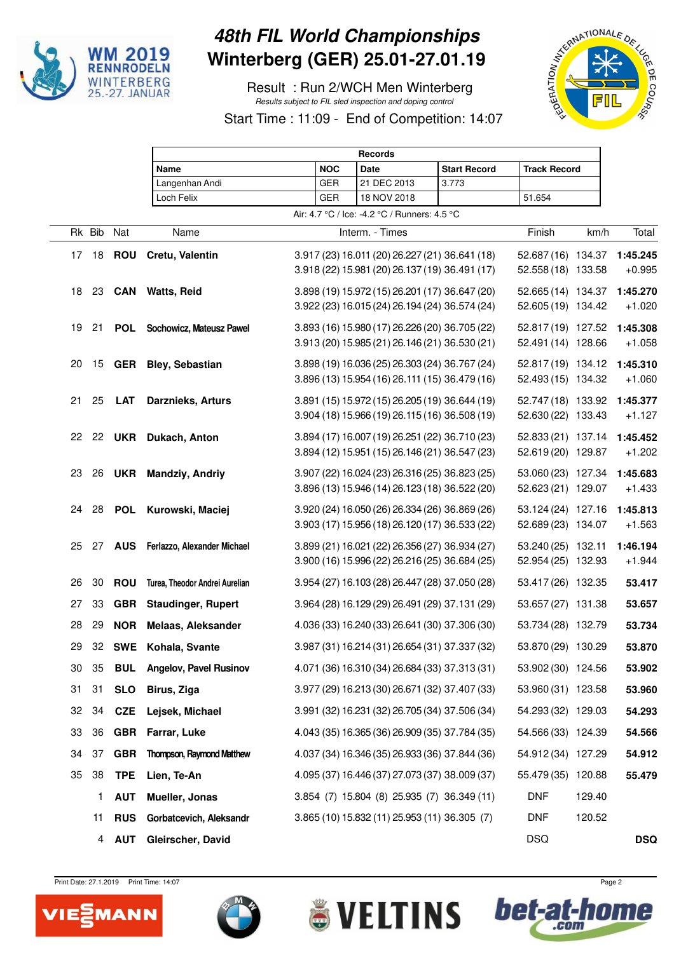

## **48th FIL World Championships Winterberg (GER) 25.01-27.01.19**

 Result : Run 2/WCH Men Winterberg Results subject to FIL sled inspection and doping control



bet-at

**COLU** 



Start Time : 11:09 - End of Competition: 14:07

|    |        |            | <b>Records</b>                   |  |            |                                                |                     |                     |        |            |
|----|--------|------------|----------------------------------|--|------------|------------------------------------------------|---------------------|---------------------|--------|------------|
|    |        |            | Name                             |  | <b>NOC</b> | Date                                           | <b>Start Record</b> | <b>Track Record</b> |        |            |
|    |        |            | Langenhan Andi                   |  | <b>GER</b> | 21 DEC 2013                                    | 3.773               |                     |        |            |
|    |        |            | Loch Felix                       |  | <b>GER</b> | 18 NOV 2018                                    |                     | 51.654              |        |            |
|    |        |            |                                  |  |            | Air: 4.7 °C / Ice: -4.2 °C / Runners: 4.5 °C   |                     |                     |        |            |
|    | Rk Bib | Nat        | Name                             |  |            | Interm. - Times                                |                     | Finish              | km/h   | Total      |
| 17 | 18     | <b>ROU</b> | Cretu, Valentin                  |  |            | 3.917 (23) 16.011 (20) 26.227 (21) 36.641 (18) |                     | 52.687 (16) 134.37  |        | 1:45.245   |
|    |        |            |                                  |  |            | 3.918 (22) 15.981 (20) 26.137 (19) 36.491 (17) |                     | 52.558 (18) 133.58  |        | $+0.995$   |
| 18 | 23     | <b>CAN</b> | <b>Watts, Reid</b>               |  |            | 3.898 (19) 15.972 (15) 26.201 (17) 36.647 (20) |                     | 52.665 (14) 134.37  |        | 1:45.270   |
|    |        |            |                                  |  |            | 3.922 (23) 16.015 (24) 26.194 (24) 36.574 (24) |                     | 52.605 (19) 134.42  |        | $+1.020$   |
| 19 | 21     | <b>POL</b> | Sochowicz, Mateusz Pawel         |  |            | 3.893 (16) 15.980 (17) 26.226 (20) 36.705 (22) |                     | 52.817 (19) 127.52  |        | 1:45.308   |
|    |        |            |                                  |  |            | 3.913 (20) 15.985 (21) 26.146 (21) 36.530 (21) |                     | 52.491 (14) 128.66  |        | $+1.058$   |
| 20 | 15     |            | <b>GER</b> Bley, Sebastian       |  |            | 3.898 (19) 16.036 (25) 26.303 (24) 36.767 (24) |                     | 52.817 (19) 134.12  |        | 1:45.310   |
|    |        |            |                                  |  |            | 3.896 (13) 15.954 (16) 26.111 (15) 36.479 (16) |                     | 52.493 (15) 134.32  |        | $+1.060$   |
| 21 | 25     | <b>LAT</b> | Darznieks, Arturs                |  |            | 3.891 (15) 15.972 (15) 26.205 (19) 36.644 (19) |                     | 52.747 (18) 133.92  |        | 1:45.377   |
|    |        |            |                                  |  |            | 3.904 (18) 15.966 (19) 26.115 (16) 36.508 (19) |                     | 52.630 (22) 133.43  |        | $+1.127$   |
|    |        |            | 22 22 UKR Dukach, Anton          |  |            | 3.894 (17) 16.007 (19) 26.251 (22) 36.710 (23) |                     | 52.833 (21) 137.14  |        | 1:45.452   |
|    |        |            |                                  |  |            | 3.894 (12) 15.951 (15) 26.146 (21) 36.547 (23) |                     | 52.619 (20) 129.87  |        | $+1.202$   |
| 23 | 26     | <b>UKR</b> | <b>Mandziy, Andriy</b>           |  |            | 3.907 (22) 16.024 (23) 26.316 (25) 36.823 (25) |                     | 53.060 (23) 127.34  |        | 1:45.683   |
|    |        |            |                                  |  |            | 3.896 (13) 15.946 (14) 26.123 (18) 36.522 (20) |                     | 52.623 (21) 129.07  |        | $+1.433$   |
| 24 |        |            | 28 POL Kurowski, Maciej          |  |            | 3.920 (24) 16.050 (26) 26.334 (26) 36.869 (26) |                     | 53.124 (24) 127.16  |        | 1:45.813   |
|    |        |            |                                  |  |            | 3.903 (17) 15.956 (18) 26.120 (17) 36.533 (22) |                     | 52.689 (23) 134.07  |        | $+1.563$   |
|    | 25 27  |            | AUS Ferlazzo, Alexander Michael  |  |            | 3.899 (21) 16.021 (22) 26.356 (27) 36.934 (27) |                     | 53.240 (25) 132.11  |        | 1:46.194   |
|    |        |            |                                  |  |            | 3.900 (16) 15.996 (22) 26.216 (25) 36.684 (25) |                     | 52.954 (25) 132.93  |        | $+1.944$   |
| 26 | 30     | <b>ROU</b> | Turea, Theodor Andrei Aurelian   |  |            | 3.954 (27) 16.103 (28) 26.447 (28) 37.050 (28) |                     | 53.417 (26) 132.35  |        | 53.417     |
| 27 | 33     | <b>GBR</b> | <b>Staudinger, Rupert</b>        |  |            | 3.964 (28) 16.129 (29) 26.491 (29) 37.131 (29) |                     | 53.657 (27) 131.38  |        | 53.657     |
| 28 | 29     | <b>NOR</b> | <b>Melaas, Aleksander</b>        |  |            | 4.036 (33) 16.240 (33) 26.641 (30) 37.306 (30) |                     | 53.734 (28) 132.79  |        | 53.734     |
| 29 |        |            | 32 SWE Kohala, Svante            |  |            | 3.987 (31) 16.214 (31) 26.654 (31) 37.337 (32) |                     | 53.870 (29) 130.29  |        | 53.870     |
| 30 | 35     | <b>BUL</b> | Angelov, Pavel Rusinov           |  |            | 4.071 (36) 16.310 (34) 26.684 (33) 37.313 (31) |                     | 53.902 (30) 124.56  |        | 53.902     |
| 31 | 31     | <b>SLO</b> | Birus, Ziga                      |  |            | 3.977 (29) 16.213 (30) 26.671 (32) 37.407 (33) |                     | 53.960 (31) 123.58  |        | 53.960     |
| 32 | 34     | <b>CZE</b> | Lejsek, Michael                  |  |            | 3.991 (32) 16.231 (32) 26.705 (34) 37.506 (34) |                     | 54.293 (32) 129.03  |        | 54.293     |
| 33 | 36     | GBR        | Farrar, Luke                     |  |            | 4.043 (35) 16.365 (36) 26.909 (35) 37.784 (35) |                     | 54.566 (33) 124.39  |        | 54.566     |
| 34 | 37     | <b>GBR</b> | <b>Thompson, Raymond Matthew</b> |  |            | 4.037 (34) 16.346 (35) 26.933 (36) 37.844 (36) |                     | 54.912 (34) 127.29  |        | 54.912     |
| 35 | 38     | <b>TPE</b> | Lien, Te-An                      |  |            | 4.095 (37) 16.446 (37) 27.073 (37) 38.009 (37) |                     | 55.479 (35) 120.88  |        | 55.479     |
|    | 1      | <b>AUT</b> | Mueller, Jonas                   |  |            | 3.854 (7) 15.804 (8) 25.935 (7) 36.349 (11)    |                     | <b>DNF</b>          | 129.40 |            |
|    | 11     | <b>RUS</b> | Gorbatcevich, Aleksandr          |  |            | 3.865 (10) 15.832 (11) 25.953 (11) 36.305 (7)  |                     | <b>DNF</b>          | 120.52 |            |
|    | 4      | <b>AUT</b> | Gleirscher, David                |  |            |                                                |                     | <b>DSQ</b>          |        | <b>DSQ</b> |

**SVELTINS** 

Print Date: 27.1.2019 Print Time: 14:07 Page 2